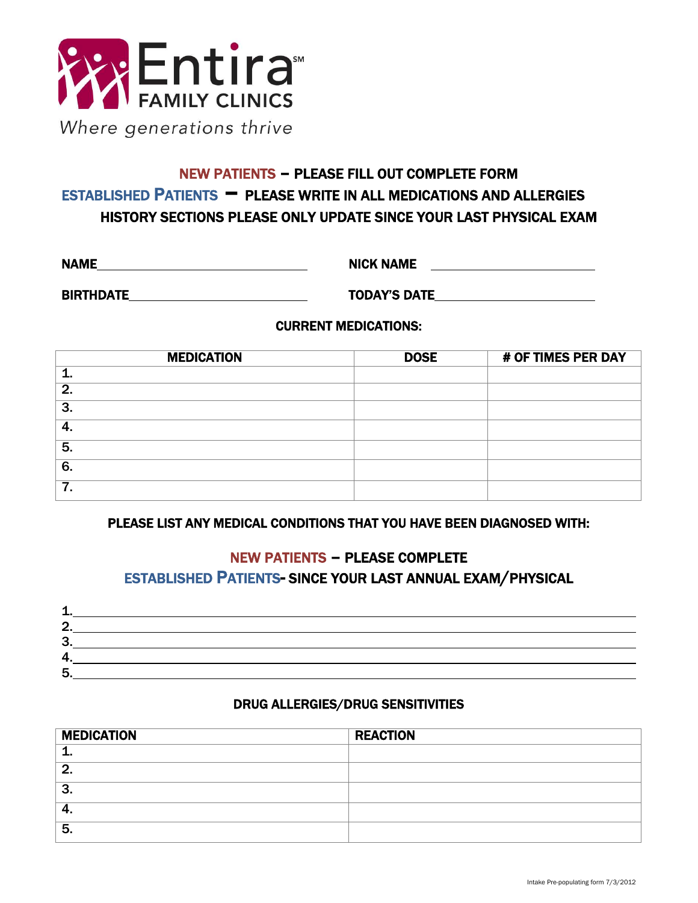

# NEW PATIENTS – PLEASE FILL OUT COMPLETE FORM ESTABLISHED <sup>P</sup>ATIENTS – PLEASE WRITE IN ALL MEDICATIONS AND ALLERGIES HISTORY SECTIONS PLEASE ONLY UPDATE SINCE YOUR LAST PHYSICAL EXAM

NAME NAME NICK NAME

BIRTHDATE TODAY'S DATE

#### CURRENT MEDICATIONS:

| <b>MEDICATION</b> | <b>DOSE</b> | # OF TIMES PER DAY |
|-------------------|-------------|--------------------|
|                   |             |                    |
| 2.                |             |                    |
| 3.                |             |                    |
| 4.                |             |                    |
| 5.                |             |                    |
| 6.                |             |                    |
| 7.                |             |                    |

#### PLEASE LIST ANY MEDICAL CONDITIONS THAT YOU HAVE BEEN DIAGNOSED WITH:

#### NEW PATIENTS – PLEASE COMPLETE ESTABLISHED PATIENTS- SINCE YOUR LAST ANNUAL EXAM/PHYSICAL

| O      |  |
|--------|--|
| ີ<br>÷ |  |
|        |  |
| 5      |  |

#### DRUG ALLERGIES/DRUG SENSITIVITIES

| <b>MEDICATION</b> | <b>REACTION</b> |
|-------------------|-----------------|
|                   |                 |
| റ                 |                 |
| 2<br>o.           |                 |
| т.                |                 |
| 5.                |                 |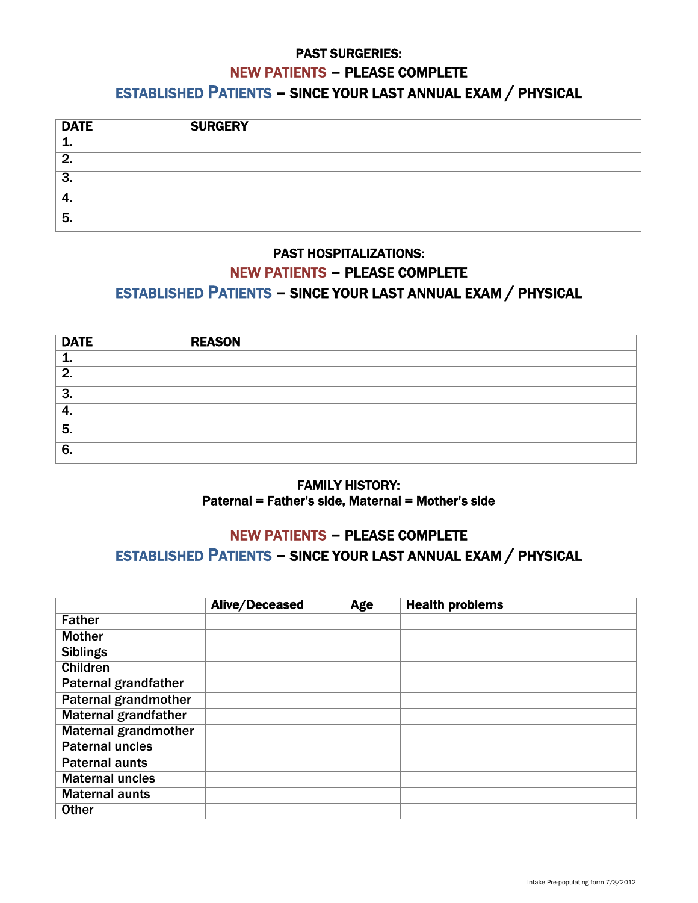# PAST SURGERIES: NEW PATIENTS – PLEASE COMPLETE

#### ESTABLISHED PATIENTS – SINCE YOUR LAST ANNUAL EXAM / PHYSICAL

| <b>DATE</b> | <b>SURGERY</b> |
|-------------|----------------|
|             |                |
| O           |                |
| ີ<br>J.     |                |
| т.          |                |
| 5.          |                |

## PAST HOSPITALIZATIONS: NEW PATIENTS – PLEASE COMPLETE ESTABLISHED PATIENTS – SINCE YOUR LAST ANNUAL EXAM / PHYSICAL

| <b>DATE</b> | <b>REASON</b> |
|-------------|---------------|
|             |               |
| - 2         |               |
| 3.          |               |
| т.          |               |
| 5.          |               |
| 6.          |               |

#### FAMILY HISTORY: Paternal = Father's side, Maternal = Mother's side

## NEW PATIENTS – PLEASE COMPLETE ESTABLISHED PATIENTS – SINCE YOUR LAST ANNUAL EXAM / PHYSICAL

|                             | <b>Alive/Deceased</b> | Age | <b>Health problems</b> |
|-----------------------------|-----------------------|-----|------------------------|
| <b>Father</b>               |                       |     |                        |
| <b>Mother</b>               |                       |     |                        |
| <b>Siblings</b>             |                       |     |                        |
| <b>Children</b>             |                       |     |                        |
| <b>Paternal grandfather</b> |                       |     |                        |
| <b>Paternal grandmother</b> |                       |     |                        |
| <b>Maternal grandfather</b> |                       |     |                        |
| <b>Maternal grandmother</b> |                       |     |                        |
| <b>Paternal uncles</b>      |                       |     |                        |
| <b>Paternal aunts</b>       |                       |     |                        |
| <b>Maternal uncles</b>      |                       |     |                        |
| <b>Maternal aunts</b>       |                       |     |                        |
| <b>Other</b>                |                       |     |                        |